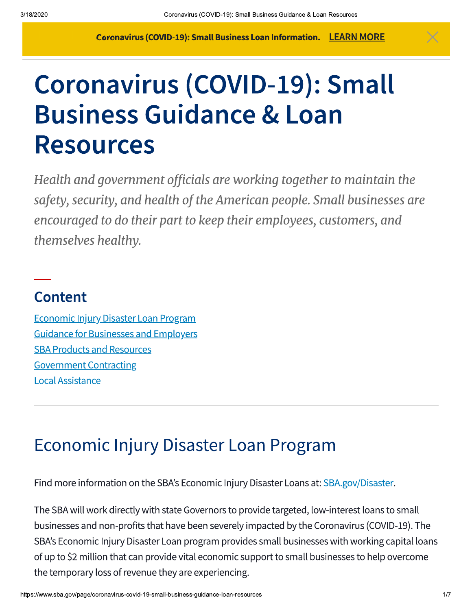# Coronavirus (COVID-19): Small **Business Guidance & Loan Resources**

Health and government officials are working together to maintain the safety, security, and health of the American people. Small businesses are encouraged to do their part to keep their employees, customers, and themselves healthy.

### **Content**

**Economic Injury Disaster Loan Program Guidance for Businesses and Employers SBA Products and Resources Government Contracting Local Assistance** 

# **Economic Injury Disaster Loan Program**

Find more information on the SBA's Economic Injury Disaster Loans at: SBA.gov/Disaster.

The SBA will work directly with state Governors to provide targeted, low-interest loans to small businesses and non-profits that have been severely impacted by the Coronavirus (COVID-19). The SBA's Economic Injury Disaster Loan program provides small businesses with working capital loans of up to \$2 million that can provide vital economic support to small businesses to help overcome the temporary loss of revenue they are experiencing.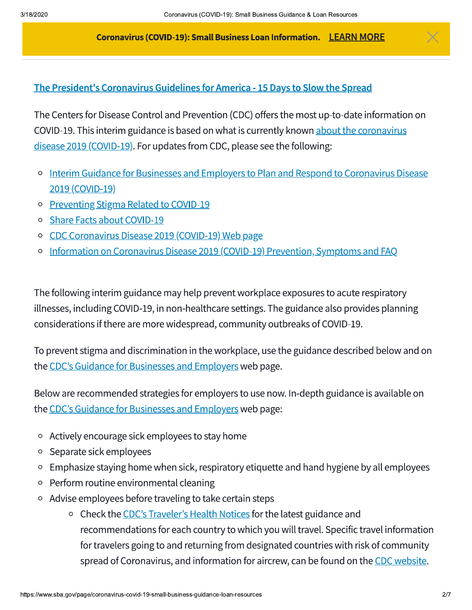#### The President's Coronavirus Guidelines for America - 15 Days to Slow the Spread

 $-$  . And the set of the set of the set of the set of the set of the set of the set of the set of the set of the set of the set of the set of the set of the set of the set of the set of the set of the set of the set of th

The Centers for Disease Control and Prevention (CDC) offers the most up-to-date information on COVID-19. This interim guidance is based on what is currently known about the coronavirus disease 2019 (COVID-19). For updates from CDC, please see the following:

- Interim Guidance for Businesses and Employers to Plan and Respond to Coronavirus Disease  $\circ$ 2019 (COVID-19)
- **Preventing Stigma Related to COVID-19**  $\circ$
- Share Facts about COVID-19  $\circ$
- CDC Coronavirus Disease 2019 (COVID-19) Web page  $\circ$
- Information on Coronavirus Disease 2019 (COVID-19) Prevention, Symptoms and FAQ  $\circ$

The following interim guidance may help prevent workplace exposures to acute respiratory illnesses, including COVID-19, in non-healthcare settings. The guidance also provides planning considerations if there are more widespread, community outbreaks of COVID-19.

To prevent stigma and discrimination in the workplace, use the guidance described below and on the CDC's Guidance for Businesses and Employers web page.

Below are recommended strategies for employers to use now. In-depth guidance is available on the CDC's Guidance for Businesses and Employers web page:

- Actively encourage sick employees to stay home  $\circ$
- Separate sick employees  $\circ$
- Emphasize staying home when sick, respiratory etiquette and hand hygiene by all employees  $\circ$
- Perform routine environmental cleaning  $\circ$
- $\circ$  Advise employees before traveling to take certain steps
- fo<br>sp<br>https://www.sba.gov/page for travelers go<br>spread of Cord<br>https://www.sba.gov/page/coronavirus-covid o Check the CDC's Traveler's Health Notices for the latest guidance and recommendations for each country to which you will travel. Specific travel information for travelers going to and returning from designated countries with risk of community spread of Coronavirus, and information for aircrew, can be found on the CDC website.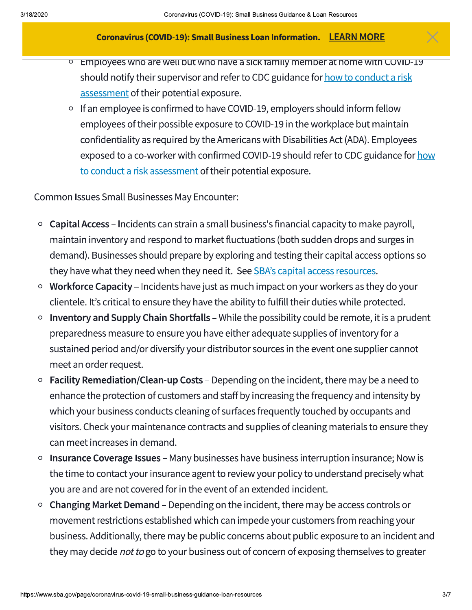- Employees who are well but who have a sick family member at nome with COVID-19  $\circ$ should notify their supervisor and refer to CDC guidance for how to conduct a risk assessment of their potential exposure.
- If an employee is confirmed to have COVID-19, employers should inform fellow employees of their possible exposure to COVID-19 in the workplace but maintain confidentiality as required by the Americans with Disabilities Act (ADA). Employees exposed to a co-worker with confirmed COVID-19 should refer to CDC guidance for how to conduct a risk assessment of their potential exposure.

Common Issues Small Businesses May Encounter:

- Capital Access Incidents can strain a small business's financial capacity to make payroll,  $\circ$ maintain inventory and respond to market fluctuations (both sudden drops and surges in demand). Businesses should prepare by exploring and testing their capital access options so they have what they need when they need it. See SBA's capital access resources.
- Workforce Capacity Incidents have just as much impact on your workers as they do your  $\circ$ clientele. It's critical to ensure they have the ability to fulfill their duties while protected.
- Inventory and Supply Chain Shortfalls While the possibility could be remote, it is a prudent  $\circ$ preparedness measure to ensure you have either adequate supplies of inventory for a sustained period and/or diversify your distributor sources in the event one supplier cannot meet an order request.
- **Facility Remediation/Clean-up Costs** Depending on the incident, there may be a need to enhance the protection of customers and staff by increasing the frequency and intensity by which your business conducts cleaning of surfaces frequently touched by occupants and visitors. Check your maintenance contracts and supplies of cleaning materials to ensure they can meet increases in demand.
- Insurance Coverage Issues Many businesses have business interruption insurance; Now is  $\circ$ the time to contact your insurance agent to review your policy to understand precisely what you are and are not covered for in the event of an extended incident.
- Changing Market Demand Depending on the incident, there may be access controls or  $\circ$ movement restrictions established which can impede your customers from reaching your business. Additionally, there may be public concerns about public exposure to an incident and they may decide *not to* go to your business out of concern of exposing themselves to greater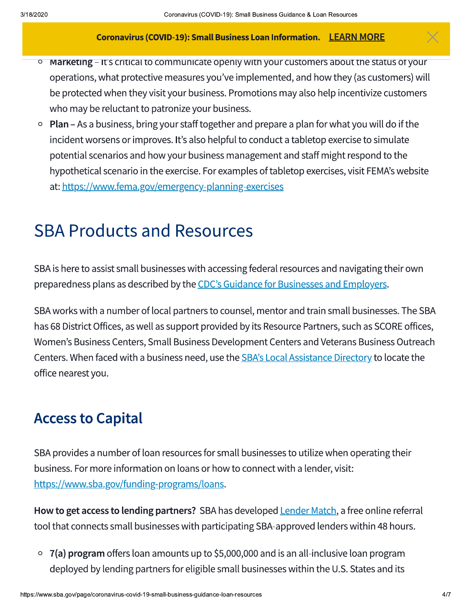- Marketing It's critical to communicate openly with your customers about the status of your  $\overline{O}$ operations, what protective measures you've implemented, and how they (as customers) will be protected when they visit your business. Promotions may also help incentivize customers who may be reluctant to patronize your business.
- $\circ$  Plan As a business, bring your staff together and prepare a plan for what you will do if the incident worsens or improves. It's also helpful to conduct a tabletop exercise to simulate potential scenarios and how your business management and staff might respond to the hypothetical scenario in the exercise. For examples of tabletop exercises, visit FEMA's website at: https://www.fema.gov/emergency-planning-exercises

# **SBA Products and Resources**

SBA is here to assist small businesses with accessing federal resources and navigating their own preparedness plans as described by the CDC's Guidance for Businesses and Employers.

SBA works with a number of local partners to counsel, mentor and train small businesses. The SBA has 68 District Offices, as well as support provided by its Resource Partners, such as SCORE offices, Women's Business Centers, Small Business Development Centers and Veterans Business Outreach Centers. When faced with a business need, use the **SBA's Local Assistance Directory** to locate the office nearest you.

### **Access to Capital**

SBA provides a number of loan resources for small businesses to utilize when operating their business. For more information on loans or how to connect with a lender, visit: https://www.sba.gov/funding-programs/loans.

How to get access to lending partners? SBA has developed **Lender Match**, a free online referral tool that connects small businesses with participating SBA-approved lenders within 48 hours.

 $\circ$  7(a) program offers loan amounts up to \$5,000,000 and is an all-inclusive loan program deployed by lending partners for eligible small businesses within the U.S. States and its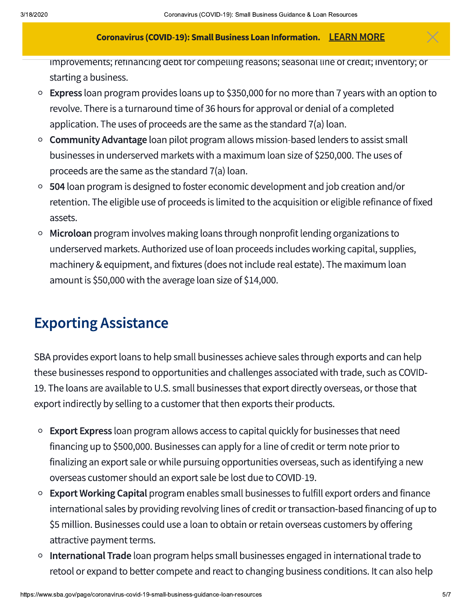improvements; refinancing debt for compelling reasons; seasonal line of credit; inventory; or starting a business.

- $\circ$  Express loan program provides loans up to \$350,000 for no more than 7 years with an option to revolve. There is a turnaround time of 36 hours for approval or denial of a completed application. The uses of proceeds are the same as the standard 7(a) loan.
- Community Advantage loan pilot program allows mission-based lenders to assist small  $\circ$ businesses in underserved markets with a maximum loan size of \$250,000. The uses of proceeds are the same as the standard 7(a) loan.
- 504 loan program is designed to foster economic development and job creation and/or  $\circ$ retention. The eligible use of proceeds is limited to the acquisition or eligible refinance of fixed assets.
- Microloan program involves making loans through nonprofit lending organizations to underserved markets. Authorized use of loan proceeds includes working capital, supplies, machinery & equipment, and fixtures (does not include real estate). The maximum loan amount is \$50,000 with the average loan size of \$14,000.

### **Exporting Assistance**

SBA provides export loans to help small businesses achieve sales through exports and can help these businesses respond to opportunities and challenges associated with trade, such as COVID-19. The loans are available to U.S. small businesses that export directly overseas, or those that export indirectly by selling to a customer that then exports their products.

- **Export Express** loan program allows access to capital quickly for businesses that need  $\circ$ financing up to \$500,000. Businesses can apply for a line of credit or term note prior to finalizing an export sale or while pursuing opportunities overseas, such as identifying a new overseas customer should an export sale be lost due to COVID-19.
- Export Working Capital program enables small businesses to fulfill export orders and finance  $\circ$ international sales by providing revolving lines of credit or transaction-based financing of up to \$5 million. Businesses could use a loan to obtain or retain overseas customers by offering attractive payment terms.
- International Trade loan program helps small businesses engaged in international trade to retool or expand to better compete and react to changing business conditions. It can also help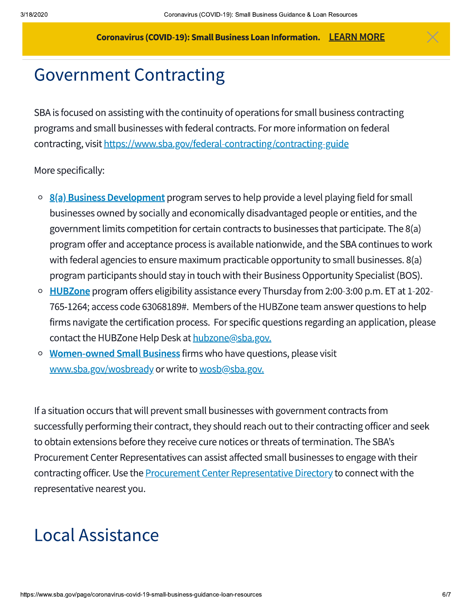# **Government Contracting**

SBA is focused on assisting with the continuity of operations for small business contracting programs and small businesses with federal contracts. For more information on federal contracting, visit https://www.sba.gov/federal-contracting/contracting-guide

#### More specifically:

- 8(a) Business Development program serves to help provide a level playing field for small  $\circ$ businesses owned by socially and economically disadvantaged people or entities, and the government limits competition for certain contracts to businesses that participate. The 8(a) program offer and acceptance process is available nationwide, and the SBA continues to work with federal agencies to ensure maximum practicable opportunity to small businesses. 8(a) program participants should stay in touch with their Business Opportunity Specialist (BOS).
- **HUBZone** program offers eligibility assistance every Thursday from 2:00-3:00 p.m. ET at 1-202- $\circ$ 765-1264; access code 63068189#. Members of the HUBZone team answer questions to help firms navigate the certification process. For specific questions regarding an application, please contact the HUBZone Help Desk at hubzone@sba.gov.
- Women-owned Small Business firms who have questions, please visit  $\circ$ www.sba.gov/wosbready or write to wosb@sba.gov.

If a situation occurs that will prevent small businesses with government contracts from successfully performing their contract, they should reach out to their contracting officer and seek to obtain extensions before they receive cure notices or threats of termination. The SBA's Procurement Center Representatives can assist affected small businesses to engage with their contracting officer. Use the **Procurement Center Representative Directory** to connect with the representative nearest you.

# **Local Assistance**